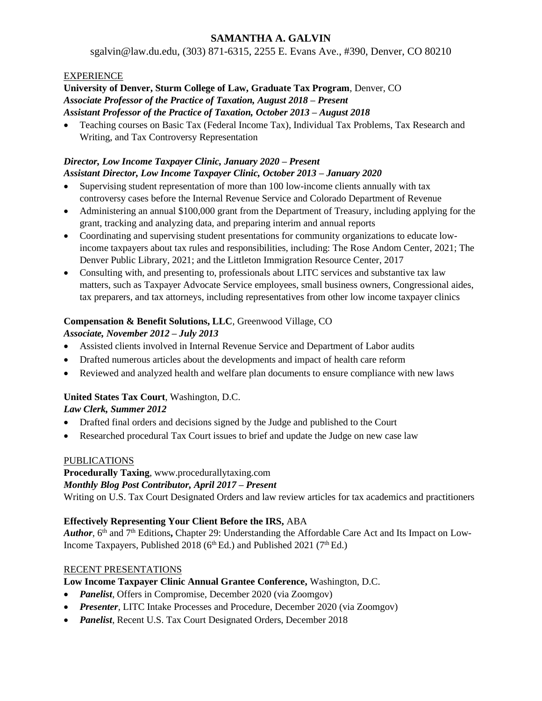## **SAMANTHA A. GALVIN**

sgalvin@law.du.edu, (303) 871-6315, 2255 E. Evans Ave., #390, Denver, CO 80210

#### EXPERIENCE

#### **University of Denver, Sturm College of Law, Graduate Tax Program**, Denver, CO *Associate Professor of the Practice of Taxation, August 2018 – Present Assistant Professor of the Practice of Taxation, October 2013 – August 2018*

• Teaching courses on Basic Tax (Federal Income Tax), Individual Tax Problems, Tax Research and Writing, and Tax Controversy Representation

#### *Director, Low Income Taxpayer Clinic, January 2020 – Present Assistant Director, Low Income Taxpayer Clinic, October 2013 – January 2020*

- Supervising student representation of more than 100 low-income clients annually with tax controversy cases before the Internal Revenue Service and Colorado Department of Revenue
- Administering an annual \$100,000 grant from the Department of Treasury, including applying for the grant, tracking and analyzing data, and preparing interim and annual reports
- Coordinating and supervising student presentations for community organizations to educate lowincome taxpayers about tax rules and responsibilities, including: The Rose Andom Center, 2021; The Denver Public Library, 2021; and the Littleton Immigration Resource Center, 2017
- Consulting with, and presenting to, professionals about LITC services and substantive tax law matters, such as Taxpayer Advocate Service employees, small business owners, Congressional aides, tax preparers, and tax attorneys, including representatives from other low income taxpayer clinics

# **Compensation & Benefit Solutions, LLC**, Greenwood Village, CO

## *Associate, November 2012 – July 2013*

- Assisted clients involved in Internal Revenue Service and Department of Labor audits
- Drafted numerous articles about the developments and impact of health care reform
- Reviewed and analyzed health and welfare plan documents to ensure compliance with new laws

## **United States Tax Court**, Washington, D.C.

## *Law Clerk, Summer 2012*

- Drafted final orders and decisions signed by the Judge and published to the Court
- Researched procedural Tax Court issues to brief and update the Judge on new case law

## PUBLICATIONS

**Procedurally Taxing**, www.procedurallytaxing.com *Monthly Blog Post Contributor, April 2017 – Present*  Writing on U.S. Tax Court Designated Orders and law review articles for tax academics and practitioners

## **Effectively Representing Your Client Before the IRS,** ABA

Author, 6<sup>th</sup> and 7<sup>th</sup> Editions, Chapter 29: Understanding the Affordable Care Act and Its Impact on Low-Income Taxpayers, Published 2018 ( $6<sup>th</sup> Ed$ .) and Published 2021 ( $7<sup>th</sup> Ed$ .)

## RECENT PRESENTATIONS

## **Low Income Taxpayer Clinic Annual Grantee Conference,** Washington, D.C.

- *Panelist*, Offers in Compromise, December 2020 (via Zoomgov)
- *Presenter*, LITC Intake Processes and Procedure, December 2020 (via Zoomgov)
- *Panelist*, Recent U.S. Tax Court Designated Orders, December 2018